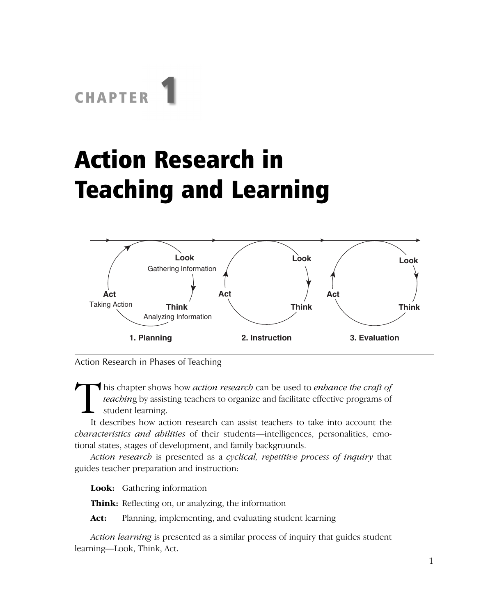

# **Action Research in Teaching and Learning**





This chapter shows how *action research* can be used to *enhance the craft of teaching* by assisting teachers to organize and facilitate effective programs of student learning.<br>It describes how action research can assist *teachin*g by assisting teachers to organize and facilitate effective programs of student learning.

It describes how action research can assist teachers to take into account the *characteristics and abilities* of their students—intelligences, personalities, emotional states, stages of development, and family backgrounds.

*Action research* is presented as a *cyclical, repetitive process of inquiry* that guides teacher preparation and instruction:

**Look:** Gathering information

**Think:** Reflecting on, or analyzing, the information

**Act:** Planning, implementing, and evaluating student learning

*Action learning* is presented as a similar process of inquiry that guides student learning—Look, Think, Act.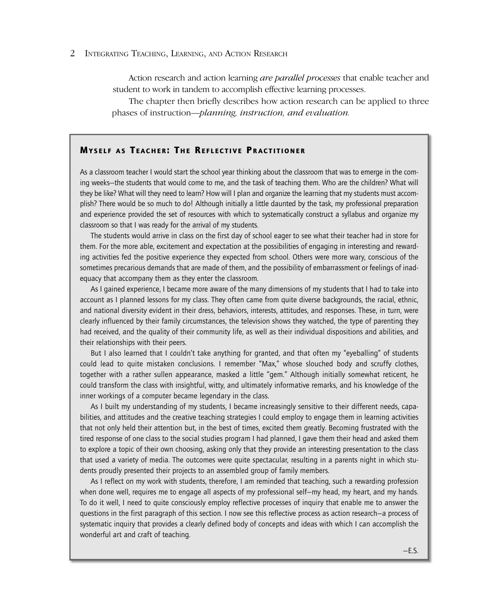Action research and action learning *are parallel processes* that enable teacher and student to work in tandem to accomplish effective learning processes.

The chapter then briefly describes how action research can be applied to three phases of instruction—*planning, instruction, and evaluation.*

## **MYSELF AS TEACHER: THE REFLECTIVE PRACTITIONER**

As a classroom teacher I would start the school year thinking about the classroom that was to emerge in the coming weeks—the students that would come to me, and the task of teaching them. Who are the children? What will they be like? What will they need to learn? How will I plan and organize the learning that my students must accomplish? There would be so much to do! Although initially a little daunted by the task, my professional preparation and experience provided the set of resources with which to systematically construct a syllabus and organize my classroom so that I was ready for the arrival of my students.

The students would arrive in class on the first day of school eager to see what their teacher had in store for them. For the more able, excitement and expectation at the possibilities of engaging in interesting and rewarding activities fed the positive experience they expected from school. Others were more wary, conscious of the sometimes precarious demands that are made of them, and the possibility of embarrassment or feelings of inadequacy that accompany them as they enter the classroom.

As I gained experience, I became more aware of the many dimensions of my students that I had to take into account as I planned lessons for my class. They often came from quite diverse backgrounds, the racial, ethnic, and national diversity evident in their dress, behaviors, interests, attitudes, and responses. These, in turn, were clearly influenced by their family circumstances, the television shows they watched, the type of parenting they had received, and the quality of their community life, as well as their individual dispositions and abilities, and their relationships with their peers.

But I also learned that I couldn't take anything for granted, and that often my "eyeballing" of students could lead to quite mistaken conclusions. I remember "Max," whose slouched body and scruffy clothes, together with a rather sullen appearance, masked a little "gem." Although initially somewhat reticent, he could transform the class with insightful, witty, and ultimately informative remarks, and his knowledge of the inner workings of a computer became legendary in the class.

As I built my understanding of my students, I became increasingly sensitive to their different needs, capabilities, and attitudes and the creative teaching strategies I could employ to engage them in learning activities that not only held their attention but, in the best of times, excited them greatly. Becoming frustrated with the tired response of one class to the social studies program I had planned, I gave them their head and asked them to explore a topic of their own choosing, asking only that they provide an interesting presentation to the class that used a variety of media. The outcomes were quite spectacular, resulting in a parents night in which students proudly presented their projects to an assembled group of family members.

As I reflect on my work with students, therefore, I am reminded that teaching, such a rewarding profession when done well, requires me to engage all aspects of my professional self—my head, my heart, and my hands. To do it well, I need to quite consciously employ reflective processes of inquiry that enable me to answer the questions in the first paragraph of this section. I now see this reflective process as action research—a process of systematic inquiry that provides a clearly defined body of concepts and ideas with which I can accomplish the wonderful art and craft of teaching.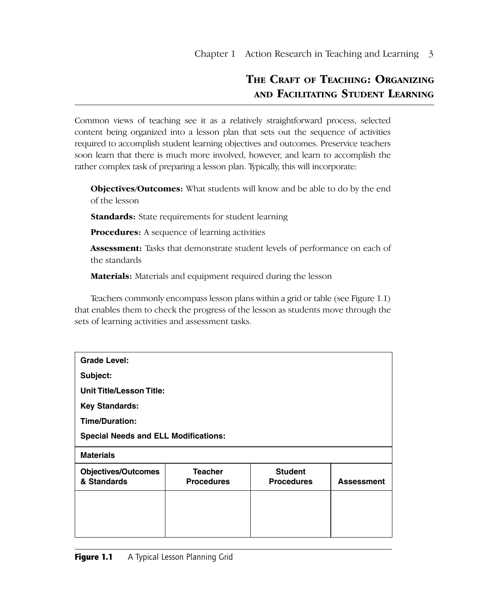# **THE CRAFT OF TEACHING: ORGANIZING AND FACILITATING STUDENT LEARNING**

Common views of teaching see it as a relatively straightforward process, selected content being organized into a lesson plan that sets out the sequence of activities required to accomplish student learning objectives and outcomes. Preservice teachers soon learn that there is much more involved, however, and learn to accomplish the rather complex task of preparing a lesson plan. Typically, this will incorporate:

**Objectives/Outcomes:** What students will know and be able to do by the end of the lesson

**Standards:** State requirements for student learning

**Procedures:** A sequence of learning activities

**Assessment:** Tasks that demonstrate student levels of performance on each of the standards

**Materials:** Materials and equipment required during the lesson

Teachers commonly encompass lesson plans within a grid or table (see Figure 1.1) that enables them to check the progress of the lesson as students move through the sets of learning activities and assessment tasks.

| <b>Grade Level:</b>                         |                                     |                                     |                   |  |
|---------------------------------------------|-------------------------------------|-------------------------------------|-------------------|--|
| Subject:                                    |                                     |                                     |                   |  |
| <b>Unit Title/Lesson Title:</b>             |                                     |                                     |                   |  |
| <b>Key Standards:</b>                       |                                     |                                     |                   |  |
| <b>Time/Duration:</b>                       |                                     |                                     |                   |  |
| <b>Special Needs and ELL Modifications:</b> |                                     |                                     |                   |  |
| <b>Materials</b>                            |                                     |                                     |                   |  |
| <b>Objectives/Outcomes</b><br>& Standards   | <b>Teacher</b><br><b>Procedures</b> | <b>Student</b><br><b>Procedures</b> | <b>Assessment</b> |  |
|                                             |                                     |                                     |                   |  |
|                                             |                                     |                                     |                   |  |
|                                             |                                     |                                     |                   |  |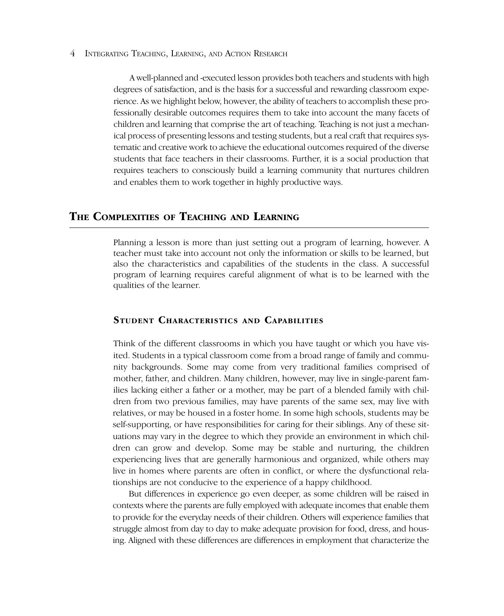A well-planned and -executed lesson provides both teachers and students with high degrees of satisfaction, and is the basis for a successful and rewarding classroom experience. As we highlight below, however, the ability of teachers to accomplish these professionally desirable outcomes requires them to take into account the many facets of children and learning that comprise the art of teaching. Teaching is not just a mechanical process of presenting lessons and testing students, but a real craft that requires systematic and creative work to achieve the educational outcomes required of the diverse students that face teachers in their classrooms. Further, it is a social production that requires teachers to consciously build a learning community that nurtures children and enables them to work together in highly productive ways.

# **THE COMPLEXITIES OF TEACHING AND LEARNING**

Planning a lesson is more than just setting out a program of learning, however. A teacher must take into account not only the information or skills to be learned, but also the characteristics and capabilities of the students in the class. A successful program of learning requires careful alignment of what is to be learned with the qualities of the learner.

## **STUDENT CHARACTERISTICS AND CAPABILITIES**

Think of the different classrooms in which you have taught or which you have visited. Students in a typical classroom come from a broad range of family and community backgrounds. Some may come from very traditional families comprised of mother, father, and children. Many children, however, may live in single-parent families lacking either a father or a mother, may be part of a blended family with children from two previous families, may have parents of the same sex, may live with relatives, or may be housed in a foster home. In some high schools, students may be self-supporting, or have responsibilities for caring for their siblings. Any of these situations may vary in the degree to which they provide an environment in which children can grow and develop. Some may be stable and nurturing, the children experiencing lives that are generally harmonious and organized, while others may live in homes where parents are often in conflict, or where the dysfunctional relationships are not conducive to the experience of a happy childhood.

But differences in experience go even deeper, as some children will be raised in contexts where the parents are fully employed with adequate incomes that enable them to provide for the everyday needs of their children. Others will experience families that struggle almost from day to day to make adequate provision for food, dress, and housing. Aligned with these differences are differences in employment that characterize the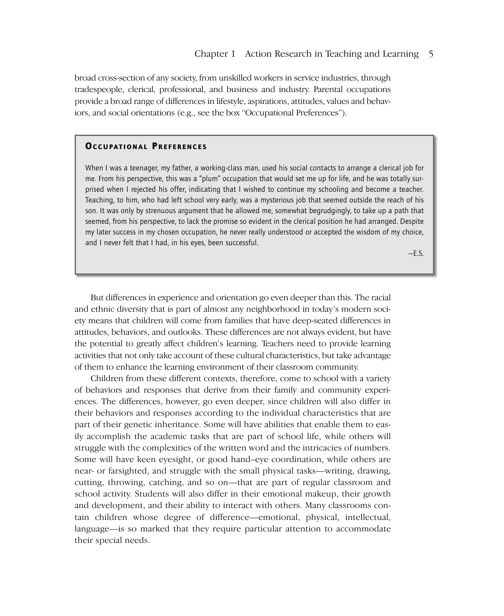broad cross-section of any society, from unskilled workers in service industries, through tradespeople, clerical, professional, and business and industry. Parental occupations provide a broad range of differences in lifestyle, aspirations, attitudes, values and behaviors, and social orientations (e.g., see the box "Occupational Preferences").

## $O$  **CCUPATIONAL PREFERENCES**

When I was a teenager, my father, a working-class man, used his social contacts to arrange a clerical job for me. From his perspective, this was a "plum" occupation that would set me up for life, and he was totally surprised when I rejected his offer, indicating that I wished to continue my schooling and become a teacher. Teaching, to him, who had left school very early, was a mysterious job that seemed outside the reach of his son. It was only by strenuous argument that he allowed me, somewhat begrudgingly, to take up a path that seemed, from his perspective, to lack the promise so evident in the clerical position he had arranged. Despite my later success in my chosen occupation, he never really understood or accepted the wisdom of my choice, and I never felt that I had, in his eyes, been successful.

 $-E.S.$ 

But differences in experience and orientation go even deeper than this. The racial and ethnic diversity that is part of almost any neighborhood in today's modern society means that children will come from families that have deep-seated differences in attitudes, behaviors, and outlooks. These differences are not always evident, but have the potential to greatly affect children's learning. Teachers need to provide learning activities that not only take account of these cultural characteristics, but take advantage of them to enhance the learning environment of their classroom community.

Children from these different contexts, therefore, come to school with a variety of behaviors and responses that derive from their family and community experiences. The differences, however, go even deeper, since children will also differ in their behaviors and responses according to the individual characteristics that are part of their genetic inheritance. Some will have abilities that enable them to easily accomplish the academic tasks that are part of school life, while others will struggle with the complexities of the written word and the intricacies of numbers. Some will have keen eyesight, or good hand–eye coordination, while others are near- or farsighted, and struggle with the small physical tasks—writing, drawing, cutting, throwing, catching, and so on—that are part of regular classroom and school activity. Students will also differ in their emotional makeup, their growth and development, and their ability to interact with others. Many classrooms contain children whose degree of difference—emotional, physical, intellectual, language—is so marked that they require particular attention to accommodate their special needs.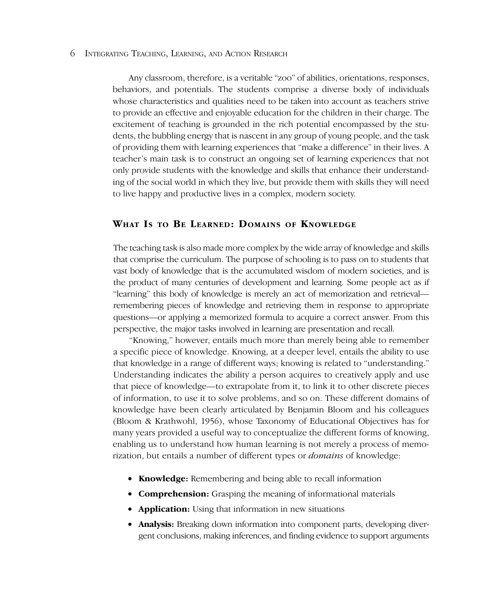Any classroom, therefore, is a veritable "zoo" of abilities, orientations, responses, behaviors, and potentials. The students comprise a diverse body of individuals whose characteristics and qualities need to be taken into account as teachers strive to provide an effective and enjoyable education for the children in their charge. The excitement of teaching is grounded in the rich potential encompassed by the students, the bubbling energy that is nascent in any group of young people, and the task of providing them with learning experiences that "make a difference" in their lives. A teacher's main task is to construct an ongoing set of learning experiences that not only provide students with the knowledge and skills that enhance their understanding of the social world in which they live, but provide them with skills they will need to live happy and productive lives in a complex, modern society.

# **WHAT IS TO BE LEARNED: DOMAINS OF KNOWLEDGE**

The teaching task is also made more complex by the wide array of knowledge and skills that comprise the curriculum. The purpose of schooling is to pass on to students that vast body of knowledge that is the accumulated wisdom of modern societies, and is the product of many centuries of development and learning. Some people act as if "learning" this body of knowledge is merely an act of memorization and retrieval remembering pieces of knowledge and retrieving them in response to appropriate questions—or applying a memorized formula to acquire a correct answer. From this perspective, the major tasks involved in learning are presentation and recall.

"Knowing," however, entails much more than merely being able to remember a specific piece of knowledge. Knowing, at a deeper level, entails the ability to use that knowledge in a range of different ways; knowing is related to "understanding." Understanding indicates the ability a person acquires to creatively apply and use that piece of knowledge—to extrapolate from it, to link it to other discrete pieces of information, to use it to solve problems, and so on. These different domains of knowledge have been clearly articulated by Benjamin Bloom and his colleagues (Bloom & Krathwohl, 1956), whose Taxonomy of Educational Objectives has for many years provided a useful way to conceptualize the different forms of knowing, enabling us to understand how human learning is not merely a process of memorization, but entails a number of different types or *domains* of knowledge:

- **Knowledge:** Remembering and being able to recall information
- **Comprehension:** Grasping the meaning of informational materials
- **Application:** Using that information in new situations
- **Analysis:** Breaking down information into component parts, developing divergent conclusions, making inferences, and finding evidence to support arguments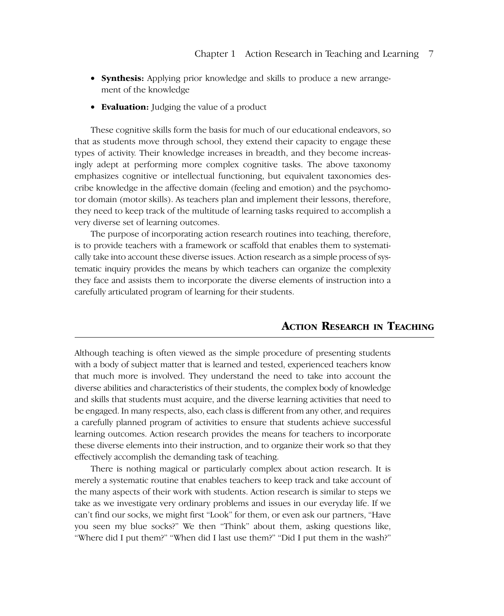- **Synthesis:** Applying prior knowledge and skills to produce a new arrangement of the knowledge
- **Evaluation:** Judging the value of a product

These cognitive skills form the basis for much of our educational endeavors, so that as students move through school, they extend their capacity to engage these types of activity. Their knowledge increases in breadth, and they become increasingly adept at performing more complex cognitive tasks. The above taxonomy emphasizes cognitive or intellectual functioning, but equivalent taxonomies describe knowledge in the affective domain (feeling and emotion) and the psychomotor domain (motor skills). As teachers plan and implement their lessons, therefore, they need to keep track of the multitude of learning tasks required to accomplish a very diverse set of learning outcomes.

The purpose of incorporating action research routines into teaching, therefore, is to provide teachers with a framework or scaffold that enables them to systematically take into account these diverse issues. Action research as a simple process of systematic inquiry provides the means by which teachers can organize the complexity they face and assists them to incorporate the diverse elements of instruction into a carefully articulated program of learning for their students.

# **ACTION RESEARCH IN TEACHING**

Although teaching is often viewed as the simple procedure of presenting students with a body of subject matter that is learned and tested, experienced teachers know that much more is involved. They understand the need to take into account the diverse abilities and characteristics of their students, the complex body of knowledge and skills that students must acquire, and the diverse learning activities that need to be engaged. In many respects, also, each class is different from any other, and requires a carefully planned program of activities to ensure that students achieve successful learning outcomes. Action research provides the means for teachers to incorporate these diverse elements into their instruction, and to organize their work so that they effectively accomplish the demanding task of teaching.

There is nothing magical or particularly complex about action research. It is merely a systematic routine that enables teachers to keep track and take account of the many aspects of their work with students. Action research is similar to steps we take as we investigate very ordinary problems and issues in our everyday life. If we can't find our socks, we might first "Look" for them, or even ask our partners, "Have you seen my blue socks?" We then "Think" about them, asking questions like, "Where did I put them?" "When did I last use them?" "Did I put them in the wash?"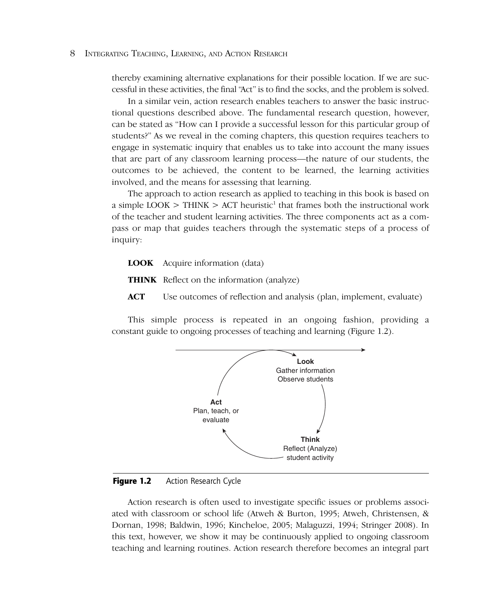thereby examining alternative explanations for their possible location. If we are successful in these activities, the final "Act" is to find the socks, and the problem is solved.

In a similar vein, action research enables teachers to answer the basic instructional questions described above. The fundamental research question, however, can be stated as "How can I provide a successful lesson for this particular group of students?" As we reveal in the coming chapters, this question requires teachers to engage in systematic inquiry that enables us to take into account the many issues that are part of any classroom learning process—the nature of our students, the outcomes to be achieved, the content to be learned, the learning activities involved, and the means for assessing that learning.

The approach to action research as applied to teaching in this book is based on a simple LOOK  $>$  THINK  $>$  ACT heuristic<sup>1</sup> that frames both the instructional work of the teacher and student learning activities. The three components act as a compass or map that guides teachers through the systematic steps of a process of inquiry:

- **LOOK** Acquire information (data)
- **THINK** Reflect on the information (analyze)
- ACT Use outcomes of reflection and analysis (plan, implement, evaluate)

This simple process is repeated in an ongoing fashion, providing a constant guide to ongoing processes of teaching and learning (Figure 1.2).





Action research is often used to investigate specific issues or problems associated with classroom or school life (Atweh & Burton, 1995; Atweh, Christensen, & Dornan, 1998; Baldwin, 1996; Kincheloe, 2005; Malaguzzi, 1994; Stringer 2008). In this text, however, we show it may be continuously applied to ongoing classroom teaching and learning routines. Action research therefore becomes an integral part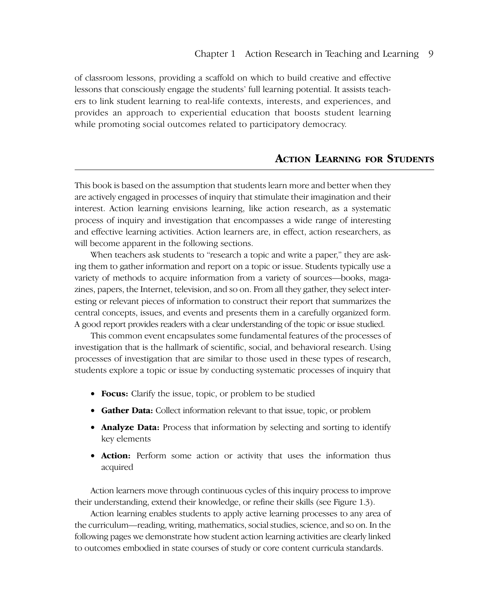of classroom lessons, providing a scaffold on which to build creative and effective lessons that consciously engage the students' full learning potential. It assists teachers to link student learning to real-life contexts, interests, and experiences, and provides an approach to experiential education that boosts student learning while promoting social outcomes related to participatory democracy.

# **ACTION LEARNING FOR STUDENTS**

This book is based on the assumption that students learn more and better when they are actively engaged in processes of inquiry that stimulate their imagination and their interest. Action learning envisions learning, like action research, as a systematic process of inquiry and investigation that encompasses a wide range of interesting and effective learning activities. Action learners are, in effect, action researchers, as will become apparent in the following sections.

When teachers ask students to "research a topic and write a paper," they are asking them to gather information and report on a topic or issue. Students typically use a variety of methods to acquire information from a variety of sources—books, magazines, papers, the Internet, television, and so on. From all they gather, they select interesting or relevant pieces of information to construct their report that summarizes the central concepts, issues, and events and presents them in a carefully organized form. A good report provides readers with a clear understanding of the topic or issue studied.

This common event encapsulates some fundamental features of the processes of investigation that is the hallmark of scientific, social, and behavioral research. Using processes of investigation that are similar to those used in these types of research, students explore a topic or issue by conducting systematic processes of inquiry that

- **Focus:** Clarify the issue, topic, or problem to be studied
- **Gather Data:** Collect information relevant to that issue, topic, or problem
- **Analyze Data:** Process that information by selecting and sorting to identify key elements
- **Action:** Perform some action or activity that uses the information thus acquired

Action learners move through continuous cycles of this inquiry process to improve their understanding, extend their knowledge, or refine their skills (see Figure 1.3).

Action learning enables students to apply active learning processes to any area of the curriculum—reading, writing, mathematics, social studies, science, and so on. In the following pages we demonstrate how student action learning activities are clearly linked to outcomes embodied in state courses of study or core content curricula standards.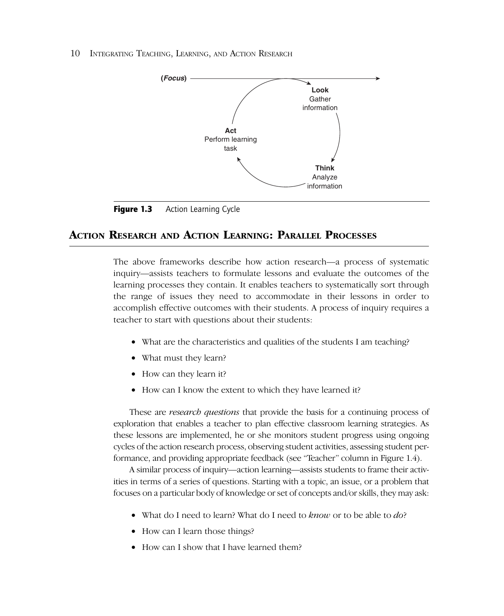

**Figure 1.3** Action Learning Cycle

# **ACTION RESEARCH AND ACTION LEARNING: PARALLEL PROCESSES**

The above frameworks describe how action research—a process of systematic inquiry—assists teachers to formulate lessons and evaluate the outcomes of the learning processes they contain. It enables teachers to systematically sort through the range of issues they need to accommodate in their lessons in order to accomplish effective outcomes with their students. A process of inquiry requires a teacher to start with questions about their students:

- What are the characteristics and qualities of the students I am teaching?
- What must they learn?
- How can they learn it?
- How can I know the extent to which they have learned it?

These are *research questions* that provide the basis for a continuing process of exploration that enables a teacher to plan effective classroom learning strategies. As these lessons are implemented, he or she monitors student progress using ongoing cycles of the action research process, observing student activities, assessing student performance, and providing appropriate feedback (see "Teacher" column in Figure 1.4).

A similar process of inquiry—action learning—assists students to frame their activities in terms of a series of questions. Starting with a topic, an issue, or a problem that focuses on a particular body of knowledge or set of concepts and/or skills, they may ask:

- What do I need to learn? What do I need to *know* or to be able to *do*?
- How can I learn those things?
- How can I show that I have learned them?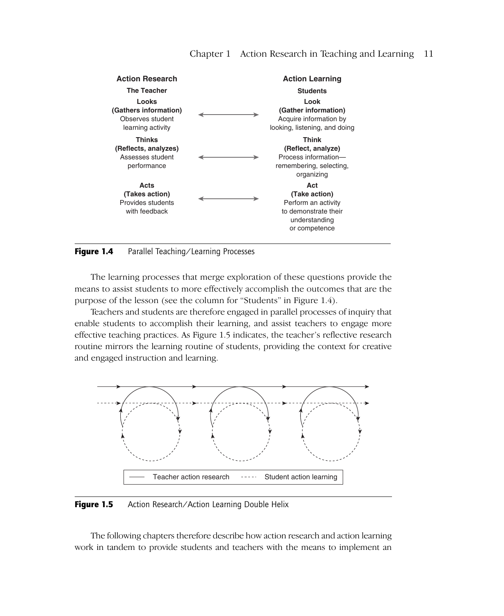## Chapter 1 Action Research in Teaching and Learning 11





The learning processes that merge exploration of these questions provide the means to assist students to more effectively accomplish the outcomes that are the purpose of the lesson (see the column for "Students" in Figure 1.4).

Teachers and students are therefore engaged in parallel processes of inquiry that enable students to accomplish their learning, and assist teachers to engage more effective teaching practices. As Figure 1.5 indicates, the teacher's reflective research routine mirrors the learning routine of students, providing the context for creative and engaged instruction and learning.



**Figure 1.5** Action Research/Action Learning Double Helix

The following chapters therefore describe how action research and action learning work in tandem to provide students and teachers with the means to implement an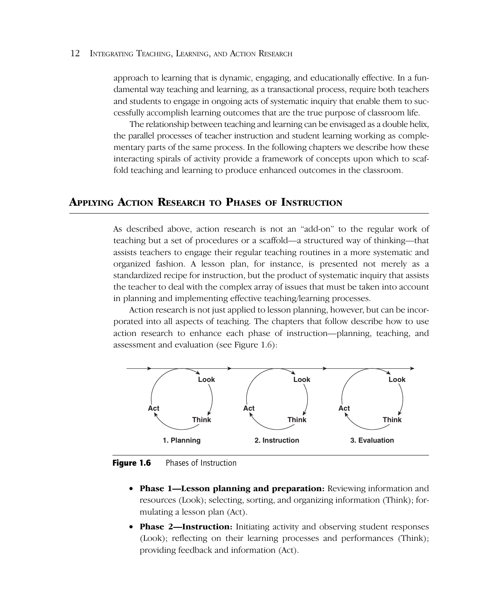approach to learning that is dynamic, engaging, and educationally effective. In a fundamental way teaching and learning, as a transactional process, require both teachers and students to engage in ongoing acts of systematic inquiry that enable them to successfully accomplish learning outcomes that are the true purpose of classroom life.

The relationship between teaching and learning can be envisaged as a double helix, the parallel processes of teacher instruction and student learning working as complementary parts of the same process. In the following chapters we describe how these interacting spirals of activity provide a framework of concepts upon which to scaffold teaching and learning to produce enhanced outcomes in the classroom.

# **APPLYING ACTION RESEARCH TO PHASES OF INSTRUCTION**

As described above, action research is not an "add-on" to the regular work of teaching but a set of procedures or a scaffold—a structured way of thinking—that assists teachers to engage their regular teaching routines in a more systematic and organized fashion. A lesson plan, for instance, is presented not merely as a standardized recipe for instruction, but the product of systematic inquiry that assists the teacher to deal with the complex array of issues that must be taken into account in planning and implementing effective teaching/learning processes.

Action research is not just applied to lesson planning, however, but can be incorporated into all aspects of teaching. The chapters that follow describe how to use action research to enhance each phase of instruction—planning, teaching, and assessment and evaluation (see Figure 1.6):



**Figure 1.6** Phases of Instruction

- **Phase 1—Lesson planning and preparation:** Reviewing information and resources (Look); selecting, sorting, and organizing information (Think); formulating a lesson plan (Act).
- **Phase 2—Instruction:** Initiating activity and observing student responses (Look); reflecting on their learning processes and performances (Think); providing feedback and information (Act).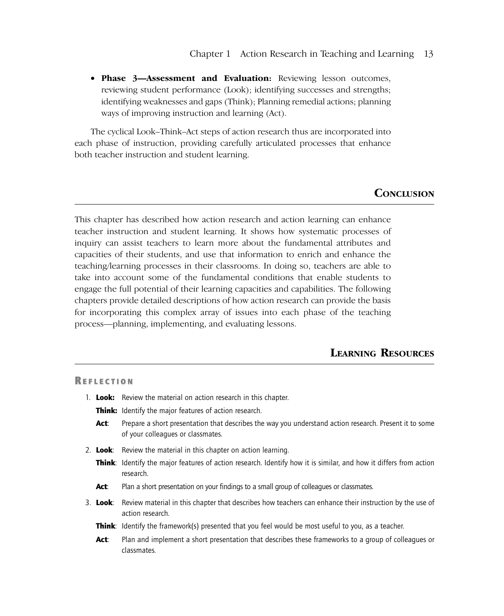• **Phase 3—Assessment and Evaluation:** Reviewing lesson outcomes, reviewing student performance (Look); identifying successes and strengths; identifying weaknesses and gaps (Think); Planning remedial actions; planning ways of improving instruction and learning (Act).

The cyclical Look–Think–Act steps of action research thus are incorporated into each phase of instruction, providing carefully articulated processes that enhance both teacher instruction and student learning.

# **CONCLUSION**

This chapter has described how action research and action learning can enhance teacher instruction and student learning. It shows how systematic processes of inquiry can assist teachers to learn more about the fundamental attributes and capacities of their students, and use that information to enrich and enhance the teaching/learning processes in their classrooms. In doing so, teachers are able to take into account some of the fundamental conditions that enable students to engage the full potential of their learning capacities and capabilities. The following chapters provide detailed descriptions of how action research can provide the basis for incorporating this complex array of issues into each phase of the teaching process—planning, implementing, and evaluating lessons.

# **LEARNING RESOURCES**

## **R <sup>E</sup> <sup>F</sup> <sup>L</sup> <sup>E</sup> <sup>C</sup> <sup>T</sup> <sup>I</sup> <sup>O</sup> <sup>N</sup>**

|      | 1. <b>Look:</b> Review the material on action research in this chapter.                                                                     |
|------|---------------------------------------------------------------------------------------------------------------------------------------------|
|      | <b>Think:</b> Identify the major features of action research.                                                                               |
| Act: | Prepare a short presentation that describes the way you understand action research. Present it to some<br>of your colleagues or classmates. |
|      | 2. <b>Look</b> : Review the material in this chapter on action learning.                                                                    |
|      | <b>Think</b> : Identify the major features of action research. Identify how it is similar, and how it differs from action<br>research.      |
| Act: | Plan a short presentation on your findings to a small group of colleagues or classmates.                                                    |
|      | 3. Look: Review material in this chapter that describes how teachers can enhance their instruction by the use of<br>action research.        |
|      | <b>Think</b> : Identify the framework(s) presented that you feel would be most useful to you, as a teacher.                                 |
| Act: | Plan and implement a short presentation that describes these frameworks to a group of colleagues or<br>classmates.                          |
|      |                                                                                                                                             |